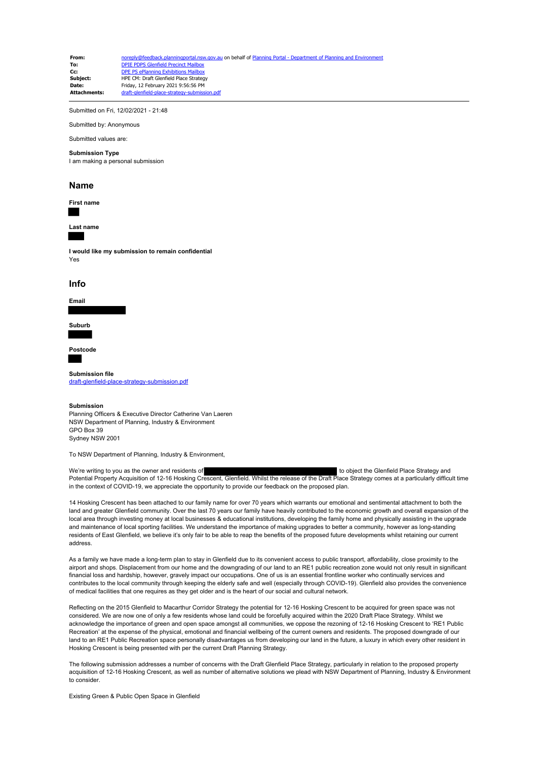| From:               | noreply@feedback.planningportal.nsw.gov.au on behalf of Planning Portal - Department of Planning and Environment |
|---------------------|------------------------------------------------------------------------------------------------------------------|
| To:                 | <b>DPIE PDPS Glenfield Precinct Mailbox</b>                                                                      |
| Cc:                 | DPE PS ePlanning Exhibitions Mailbox                                                                             |
| Subiect:            | HPE CM: Draft Glenfield Place Strategy                                                                           |
| Date:               | Friday, 12 February 2021 9:56:56 PM                                                                              |
| <b>Attachments:</b> | draft-glenfield-place-strategy-submission.pdf                                                                    |

Submitted on Fri, 12/02/2021 - 21:48

Submitted by: Anonymous

### Submitted values are:

#### **Submission Type**

I am making a personal submission

#### **Name**



**Last name**

**I would like my submission to remain confidential** Yes

#### **Info**



**Suburb**

**Postcode**

**Submission file** [draft-glenfield-place-strategy-submission.pdf](https://pp.planningportal.nsw.gov.au/system/files/webform/draft_plans_glenfield/118911/draft-glenfield-place-strategy-submission.pdf)

#### **Submission**

Planning Officers & Executive Director Catherine Van Laeren NSW Department of Planning, Industry & Environment GPO Box 39 Sydney NSW 2001

To NSW Department of Planning, Industry & Environment,

We're writing to you as the owner and residents of the Strategy and to object the Glenfield Place Strategy and Potential Property Acquisition of 12-16 Hosking Crescent, Glenfield. Whilst the release of the Draft Place Strategy comes at a particularly difficult time in the context of COVID-19, we appreciate the opportunity to provide our feedback on the proposed plan.

14 Hosking Crescent has been attached to our family name for over 70 years which warrants our emotional and sentimental attachment to both the land and greater Glenfield community. Over the last 70 years our family have heavily contributed to the economic growth and overall expansion of the local area through investing money at local businesses & educational institutions, developing the family home and physically assisting in the upgrade and maintenance of local sporting facilities. We understand the importance of making upgrades to better a community, however as long-standing residents of East Glenfield, we believe it's only fair to be able to reap the benefits of the proposed future developments whilst retaining our current address.

As a family we have made a long-term plan to stay in Glenfield due to its convenient access to public transport, affordability, close proximity to the airport and shops. Displacement from our home and the downgrading of our land to an RE1 public recreation zone would not only result in significant financial loss and hardship, however, gravely impact our occupations. One of us is an essential frontline worker who continually services and contributes to the local community through keeping the elderly safe and well (especially through COVID-19). Glenfield also provides the convenience of medical facilities that one requires as they get older and is the heart of our social and cultural network.

Reflecting on the 2015 Glenfield to Macarthur Corridor Strategy the potential for 12-16 Hosking Crescent to be acquired for green space was not considered. We are now one of only a few residents whose land could be forcefully acquired within the 2020 Draft Place Strategy. Whilst we acknowledge the importance of green and open space amongst all communities, we oppose the rezoning of 12-16 Hosking Crescent to 'RE1 Public Recreation' at the expense of the physical, emotional and financial wellbeing of the current owners and residents. The proposed downgrade of our land to an RE1 Public Recreation space personally disadvantages us from developing our land in the future, a luxury in which every other resident in Hosking Crescent is being presented with per the current Draft Planning Strategy.

The following submission addresses a number of concerns with the Draft Glenfield Place Strategy, particularly in relation to the proposed property acquisition of 12-16 Hosking Crescent, as well as number of alternative solutions we plead with NSW Department of Planning, Industry & Environment to consider.

Existing Green & Public Open Space in Glenfield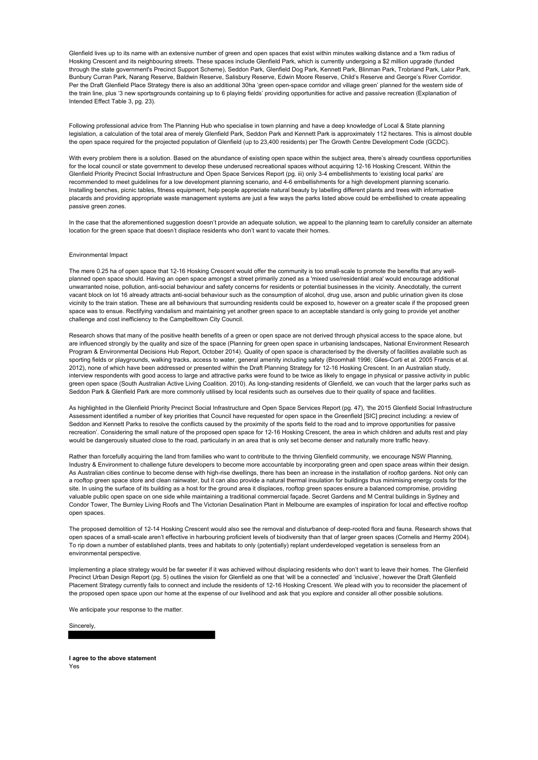Glenfield lives up to its name with an extensive number of green and open spaces that exist within minutes walking distance and a 1km radius of Hosking Crescent and its neighbouring streets. These spaces include Glenfield Park, which is currently undergoing a \$2 million upgrade (funded through the state government's Precinct Support Scheme), Seddon Park, Glenfield Dog Park, Kennett Park, Blinman Park, Trobriand Park, Lalor Park, Bunbury Curran Park, Narang Reserve, Baldwin Reserve, Salisbury Reserve, Edwin Moore Reserve, Child's Reserve and George's River Corridor. Per the Draft Glenfield Place Strategy there is also an additional 30ha 'green open-space corridor and village green' planned for the western side of the train line, plus '3 new sportsgrounds containing up to 6 playing fields' providing opportunities for active and passive recreation (Explanation of Intended Effect Table 3, pg. 23).

Following professional advice from The Planning Hub who specialise in town planning and have a deep knowledge of Local & State planning legislation, a calculation of the total area of merely Glenfield Park, Seddon Park and Kennett Park is approximately 112 hectares. This is almost double the open space required for the projected population of Glenfield (up to 23,400 residents) per The Growth Centre Development Code (GCDC).

With every problem there is a solution. Based on the abundance of existing open space within the subject area, there's already countless opportunities for the local council or state government to develop these underused recreational spaces without acquiring 12-16 Hosking Crescent. Within the Glenfield Priority Precinct Social Infrastructure and Open Space Services Report (pg. iii) only 3-4 embellishments to 'existing local parks' are recommended to meet guidelines for a low development planning scenario, and 4-6 embellishments for a high development planning scenario. Installing benches, picnic tables, fitness equipment, help people appreciate natural beauty by labelling different plants and trees with informative placards and providing appropriate waste management systems are just a few ways the parks listed above could be embellished to create appealing passive green zones.

In the case that the aforementioned suggestion doesn't provide an adequate solution, we appeal to the planning team to carefully consider an alternate location for the green space that doesn't displace residents who don't want to vacate their homes.

#### Environmental Impact

The mere 0.25 ha of open space that 12-16 Hosking Crescent would offer the community is too small-scale to promote the benefits that any wellplanned open space should. Having an open space amongst a street primarily zoned as a 'mixed use/residential area' would encourage additional unwarranted noise, pollution, anti-social behaviour and safety concerns for residents or potential businesses in the vicinity. Anecdotally, the current vacant block on lot 16 already attracts anti-social behaviour such as the consumption of alcohol, drug use, arson and public urination given its close vicinity to the train station. These are all behaviours that surrounding residents could be exposed to, however on a greater scale if the proposed green space was to ensue. Rectifying vandalism and maintaining yet another green space to an acceptable standard is only going to provide yet another challenge and cost inefficiency to the Campbelltown City Council.

Research shows that many of the positive health benefits of a green or open space are not derived through physical access to the space alone, but are influenced strongly by the quality and size of the space (Planning for green open space in urbanising landscapes, National Environment Research Program & Environmental Decisions Hub Report, October 2014). Quality of open space is characterised by the diversity of facilities available such as sporting fields or playgrounds, walking tracks, access to water, general amenity including safety (Broomhall 1996; Giles-Corti et al. 2005 Francis et al. 2012), none of which have been addressed or presented within the Draft Planning Strategy for 12-16 Hosking Crescent. In an Australian study, interview respondents with good access to large and attractive parks were found to be twice as likely to engage in physical or passive activity in public green open space (South Australian Active Living Coalition. 2010). As long-standing residents of Glenfield, we can vouch that the larger parks such as Seddon Park & Glenfield Park are more commonly utilised by local residents such as ourselves due to their quality of space and facilities.

As highlighted in the Glenfield Priority Precinct Social Infrastructure and Open Space Services Report (pg. 47), 'the 2015 Glenfield Social Infrastructure Assessment identified a number of key priorities that Council have requested for open space in the Greenfield [SIC] precinct including: a review of Seddon and Kennett Parks to resolve the conflicts caused by the proximity of the sports field to the road and to improve opportunities for passive recreation'. Considering the small nature of the proposed open space for 12-16 Hosking Crescent, the area in which children and adults rest and play would be dangerously situated close to the road, particularly in an area that is only set become denser and naturally more traffic heavy.

Rather than forcefully acquiring the land from families who want to contribute to the thriving Glenfield community, we encourage NSW Planning, Industry & Environment to challenge future developers to become more accountable by incorporating green and open space areas within their design. As Australian cities continue to become dense with high-rise dwellings, there has been an increase in the installation of rooftop gardens. Not only can a rooftop green space store and clean rainwater, but it can also provide a natural thermal insulation for buildings thus minimising energy costs for the site. In using the surface of its building as a host for the ground area it displaces, rooftop green spaces ensure a balanced compromise, providing valuable public open space on one side while maintaining a traditional commercial façade. Secret Gardens and M Central buildings in Sydney and Condor Tower, The Burnley Living Roofs and The Victorian Desalination Plant in Melbourne are examples of inspiration for local and effective rooftop open spaces.

The proposed demolition of 12-14 Hosking Crescent would also see the removal and disturbance of deep-rooted flora and fauna. Research shows that open spaces of a small-scale aren't effective in harbouring proficient levels of biodiversity than that of larger green spaces (Cornelis and Hermy 2004). To rip down a number of established plants, trees and habitats to only (potentially) replant underdeveloped vegetation is senseless from an environmental perspective.

Implementing a place strategy would be far sweeter if it was achieved without displacing residents who don't want to leave their homes. The Glenfield Precinct Urban Design Report (pg. 5) outlines the vision for Glenfield as one that 'will be a connected' and 'inclusive', however the Draft Glenfield Placement Strategy currently fails to connect and include the residents of 12-16 Hosking Crescent. We plead with you to reconsider the placement of the proposed open space upon our home at the expense of our livelihood and ask that you explore and consider all other possible solutions.

We anticipate your response to the matter.

Sincerely,

**I agree to the above statement** Yes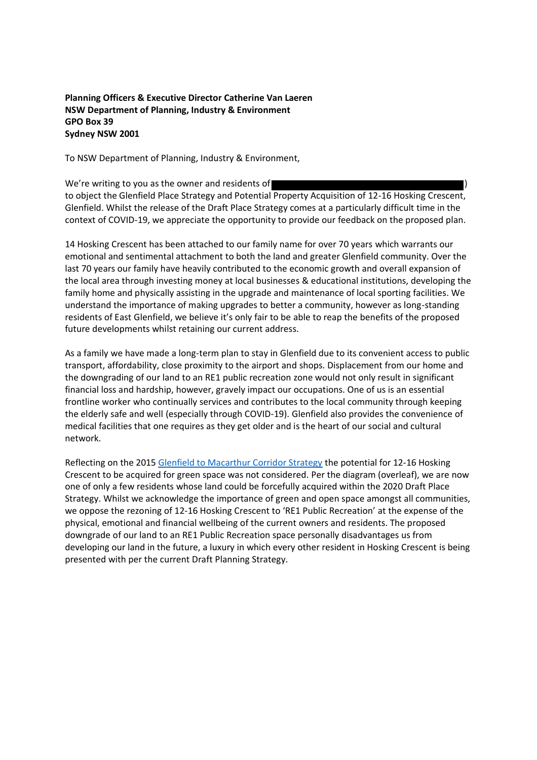### **Planning Officers & Executive Director Catherine Van Laeren NSW Department of Planning, Industry & Environment GPO Box 39 Sydney NSW 2001**

To NSW Department of Planning, Industry & Environment,

We're writing to you as the owner and residents of to object the Glenfield Place Strategy and Potential Property Acquisition of 12-16 Hosking Crescent, Glenfield. Whilst the release of the Draft Place Strategy comes at a particularly difficult time in the context of COVID-19, we appreciate the opportunity to provide our feedback on the proposed plan.

14 Hosking Crescent has been attached to our family name for over 70 years which warrants our emotional and sentimental attachment to both the land and greater Glenfield community. Over the last 70 years our family have heavily contributed to the economic growth and overall expansion of the local area through investing money at local businesses & educational institutions, developing the family home and physically assisting in the upgrade and maintenance of local sporting facilities. We understand the importance of making upgrades to better a community, however as long-standing residents of East Glenfield, we believe it's only fair to be able to reap the benefits of the proposed future developments whilst retaining our current address.

As a family we have made a long-term plan to stay in Glenfield due to its convenient access to public transport, affordability, close proximity to the airport and shops. Displacement from our home and the downgrading of our land to an RE1 public recreation zone would not only result in significant financial loss and hardship, however, gravely impact our occupations. One of us is an essential frontline worker who continually services and contributes to the local community through keeping the elderly safe and well (especially through COVID-19). Glenfield also provides the convenience of medical facilities that one requires as they get older and is the heart of our social and cultural network.

Reflecting on the 2015 [Glenfield to Macarthur Corridor Strategy](https://www.planning.nsw.gov.au/-/media/Files/DPE/Strategy-documents/draft-corridor-strategy-glenfield-to-macarthur-2015-07.pdf?la=en) the potential for 12-16 Hosking Crescent to be acquired for green space was not considered. Per the diagram (overleaf), we are now one of only a few residents whose land could be forcefully acquired within the 2020 Draft Place Strategy. Whilst we acknowledge the importance of green and open space amongst all communities, we oppose the rezoning of 12-16 Hosking Crescent to 'RE1 Public Recreation' at the expense of the physical, emotional and financial wellbeing of the current owners and residents. The proposed downgrade of our land to an RE1 Public Recreation space personally disadvantages us from developing our land in the future, a luxury in which every other resident in Hosking Crescent is being presented with per the current Draft Planning Strategy.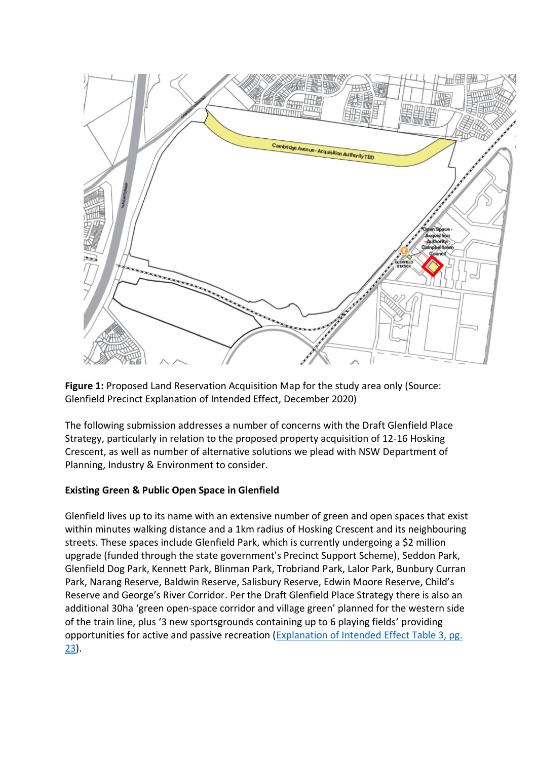

**Figure 1:** Proposed Land Reservation Acquisition Map for the study area only (Source: Glenfield Precinct Explanation of Intended Effect, December 2020)

The following submission addresses a number of concerns with the Draft Glenfield Place Strategy, particularly in relation to the proposed property acquisition of 12-16 Hosking Crescent, as well as number of alternative solutions we plead with NSW Department of Planning, Industry & Environment to consider.

# **Existing Green & Public Open Space in Glenfield**

Glenfield lives up to its name with an extensive number of green and open spaces that exist within minutes walking distance and a 1km radius of Hosking Crescent and its neighbouring streets. These spaces include Glenfield Park, which is currently undergoing a \$2 million upgrade (funded through the state government's Precinct Support Scheme), Seddon Park, Glenfield Dog Park, Kennett Park, Blinman Park, Trobriand Park, Lalor Park, Bunbury Curran Park, Narang Reserve, Baldwin Reserve, Salisbury Reserve, Edwin Moore Reserve, Child's Reserve and George's River Corridor. Per the Draft Glenfield Place Strategy there is also an additional 30ha 'green open-space corridor and village green' planned for the western side of the train line, plus '3 new sportsgrounds containing up to 6 playing fields' providing opportunities for active and passive recreation [\(Explanation of Intended Effect Table 3, pg.](https://shared-drupal-s3fs.s3-ap-southeast-2.amazonaws.com/master-test/fapub_pdf/00+-+Planning+Portal+Exhibitions/Explanation+of+Intended+Effect_Glenfield.pdf)  [23\)](https://shared-drupal-s3fs.s3-ap-southeast-2.amazonaws.com/master-test/fapub_pdf/00+-+Planning+Portal+Exhibitions/Explanation+of+Intended+Effect_Glenfield.pdf).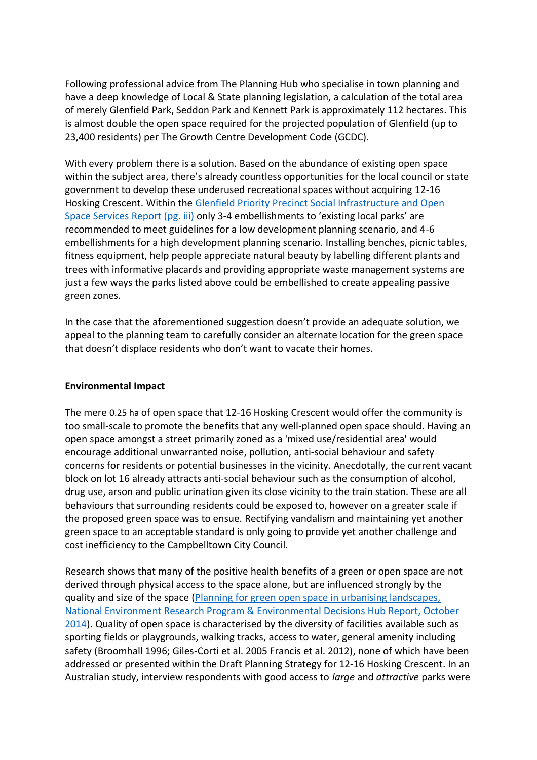Following professional advice from The Planning Hub who specialise in town planning and have a deep knowledge of Local & State planning legislation, a calculation of the total area of merely Glenfield Park, Seddon Park and Kennett Park is approximately 112 hectares. This is almost double the open space required for the projected population of Glenfield (up to 23,400 residents) per The Growth Centre Development Code (GCDC).

With every problem there is a solution. Based on the abundance of existing open space within the subject area, there's already countless opportunities for the local council or state government to develop these underused recreational spaces without acquiring 12-16 Hosking Crescent. Within the [Glenfield Priority Precinct Social Infrastructure and Open](https://shared-drupal-s3fs.s3-ap-southeast-2.amazonaws.com/master-test/fapub_pdf/00+-+Planning+Portal+Exhibitions/Glenfield+Social+Infrastructure+and+Open-Space+Services+Report.pdf)  [Space Services Report \(pg. iii\)](https://shared-drupal-s3fs.s3-ap-southeast-2.amazonaws.com/master-test/fapub_pdf/00+-+Planning+Portal+Exhibitions/Glenfield+Social+Infrastructure+and+Open-Space+Services+Report.pdf) only 3-4 embellishments to 'existing local parks' are recommended to meet guidelines for a low development planning scenario, and 4-6 embellishments for a high development planning scenario. Installing benches, picnic tables, fitness equipment, help people appreciate natural beauty by labelling different plants and trees with informative placards and providing appropriate waste management systems are just a few ways the parks listed above could be embellished to create appealing passive green zones.

In the case that the aforementioned suggestion doesn't provide an adequate solution, we appeal to the planning team to carefully consider an alternate location for the green space that doesn't displace residents who don't want to vacate their homes.

## **Environmental Impact**

The mere 0.25 ha of open space that 12-16 Hosking Crescent would offer the community is too small-scale to promote the benefits that any well-planned open space should. Having an open space amongst a street primarily zoned as a 'mixed use/residential area' would encourage additional unwarranted noise, pollution, anti-social behaviour and safety concerns for residents or potential businesses in the vicinity. Anecdotally, the current vacant block on lot 16 already attracts anti-social behaviour such as the consumption of alcohol, drug use, arson and public urination given its close vicinity to the train station. These are all behaviours that surrounding residents could be exposed to, however on a greater scale if the proposed green space was to ensue. Rectifying vandalism and maintaining yet another green space to an acceptable standard is only going to provide yet another challenge and cost inefficiency to the Campbelltown City Council.

Research shows that many of the positive health benefits of a green or open space are not derived through physical access to the space alone, but are influenced strongly by the quality and size of the space [\(Planning for green open space in urbanising landscapes,](https://www.environment.gov.au/system/files/pages/25570c73-a276-4efb-82f4-16f802320e62/files/planning-green-open-space-report.pdf)  [National Environment Research Program & Environmental Decisions Hub Report, October](https://www.environment.gov.au/system/files/pages/25570c73-a276-4efb-82f4-16f802320e62/files/planning-green-open-space-report.pdf)  [2014\)](https://www.environment.gov.au/system/files/pages/25570c73-a276-4efb-82f4-16f802320e62/files/planning-green-open-space-report.pdf). Quality of open space is characterised by the diversity of facilities available such as sporting fields or playgrounds, walking tracks, access to water, general amenity including safety (Broomhall 1996; Giles-Corti et al. 2005 Francis et al. 2012), none of which have been addressed or presented within the Draft Planning Strategy for 12-16 Hosking Crescent. In an Australian study, interview respondents with good access to *large* and *attractive* parks were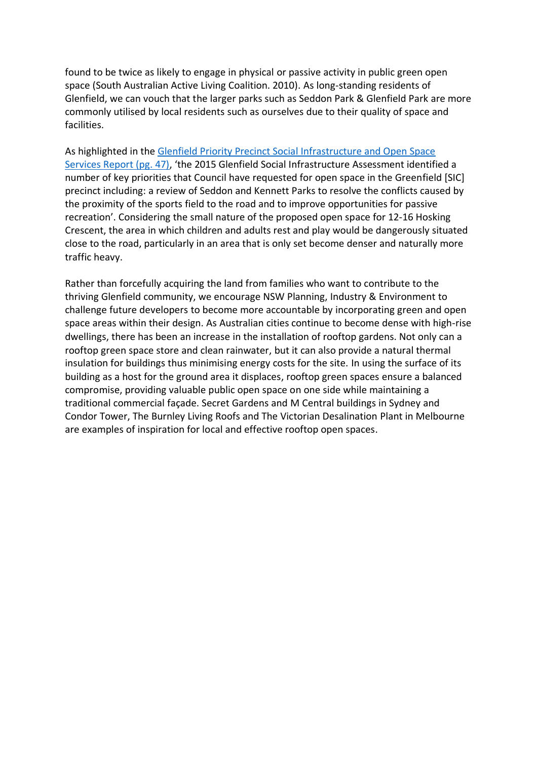found to be twice as likely to engage in physical or passive activity in public green open space (South Australian Active Living Coalition. 2010). As long-standing residents of Glenfield, we can vouch that the larger parks such as Seddon Park & Glenfield Park are more commonly utilised by local residents such as ourselves due to their quality of space and facilities.

As highlighted in the [Glenfield Priority Precinct Social Infrastructure and Open Space](https://shared-drupal-s3fs.s3-ap-southeast-2.amazonaws.com/master-test/fapub_pdf/00+-+Planning+Portal+Exhibitions/Glenfield+Social+Infrastructure+and+Open-Space+Services+Report.pdf)  [Services Report \(pg. 47\)](https://shared-drupal-s3fs.s3-ap-southeast-2.amazonaws.com/master-test/fapub_pdf/00+-+Planning+Portal+Exhibitions/Glenfield+Social+Infrastructure+and+Open-Space+Services+Report.pdf), 'the 2015 Glenfield Social Infrastructure Assessment identified a number of key priorities that Council have requested for open space in the Greenfield [SIC] precinct including: a review of Seddon and Kennett Parks to resolve the conflicts caused by the proximity of the sports field to the road and to improve opportunities for passive recreation'. Considering the small nature of the proposed open space for 12-16 Hosking Crescent, the area in which children and adults rest and play would be dangerously situated close to the road, particularly in an area that is only set become denser and naturally more traffic heavy.

Rather than forcefully acquiring the land from families who want to contribute to the thriving Glenfield community, we encourage NSW Planning, Industry & Environment to challenge future developers to become more accountable by incorporating green and open space areas within their design. As Australian cities continue to become dense with high-rise dwellings, there has been an increase in the installation of rooftop gardens. Not only can a rooftop green space store and clean rainwater, but it can also provide a natural thermal insulation for buildings thus minimising energy costs for the site. In using the surface of its building as a host for the ground area it displaces, rooftop green spaces ensure a balanced compromise, providing valuable public open space on one side while maintaining a traditional commercial façade. Secret Gardens and M Central buildings in Sydney and Condor Tower, The Burnley Living Roofs and The Victorian Desalination Plant in Melbourne are examples of inspiration for local and effective rooftop open spaces.